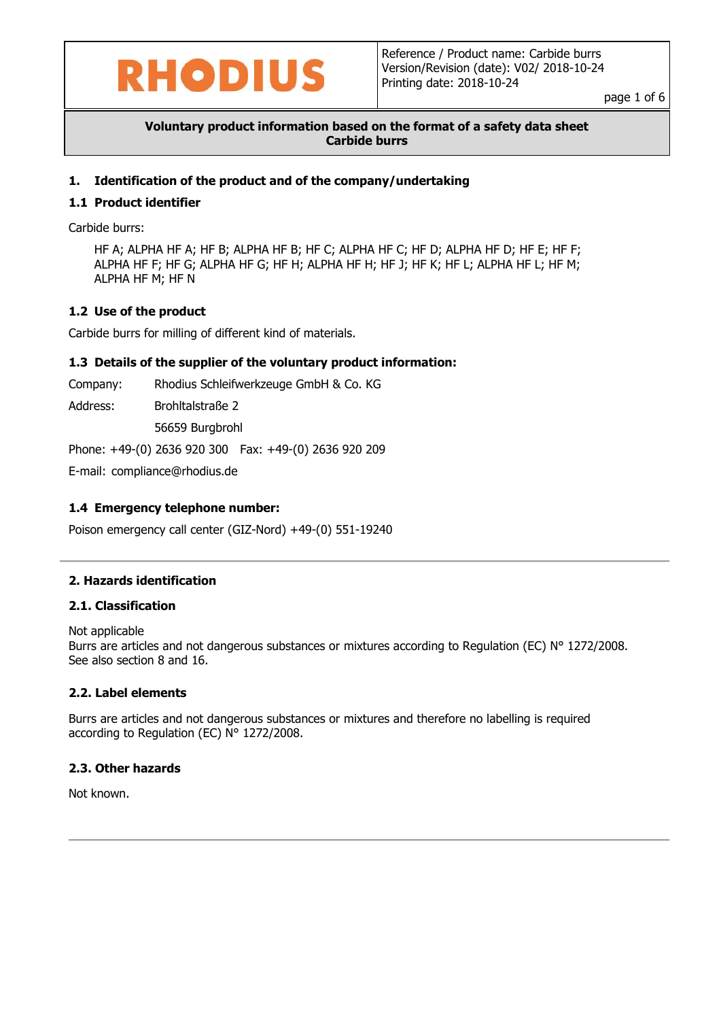

page 1 of 6

## **Voluntary product information based on the format of a safety data sheet Carbide burrs**

## **1. Identification of the product and of the company/undertaking**

### **1.1 Product identifier**

Carbide burrs:

HF A; ALPHA HF A; HF B; ALPHA HF B; HF C; ALPHA HF C; HF D; ALPHA HF D; HF E; HF F; ALPHA HF F; HF G; ALPHA HF G; HF H; ALPHA HF H; HF J; HF K; HF L; ALPHA HF L; HF M; ALPHA HF M; HF N

## **1.2 Use of the product**

Carbide burrs for milling of different kind of materials.

#### **1.3 Details of the supplier of the voluntary product information:**

Company: Rhodius Schleifwerkzeuge GmbH & Co. KG

Address: Brohltalstraße 2

56659 Burgbrohl

Phone: +49-(0) 2636 920 300 Fax: +49-(0) 2636 920 209

E-mail: compliance@rhodius.de

## **1.4 Emergency telephone number:**

Poison emergency call center (GIZ-Nord) +49-(0) 551-19240

#### **2. Hazards identification**

#### **2.1. Classification**

Not applicable Burrs are articles and not dangerous substances or mixtures according to Regulation (EC) N° 1272/2008. See also section 8 and 16.

#### **2.2. Label elements**

Burrs are articles and not dangerous substances or mixtures and therefore no labelling is required according to Regulation (EC) N° 1272/2008.

#### **2.3. Other hazards**

Not known.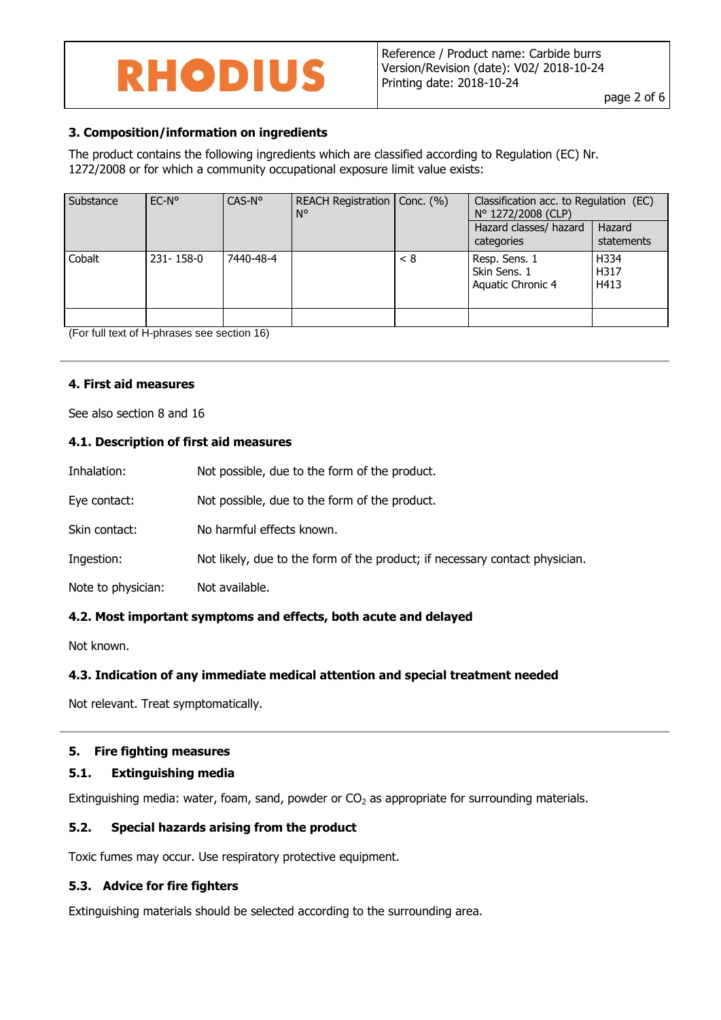## **3. Composition/information on ingredients**

The product contains the following ingredients which are classified according to Regulation (EC) Nr. 1272/2008 or for which a community occupational exposure limit value exists:

| Substance                     | $EC-No$   | CAS-N°                             | REACH Registration   Conc. (%)<br>N° |     | Classification acc. to Regulation (EC)<br>N° 1272/2008 (CLP) |                      |
|-------------------------------|-----------|------------------------------------|--------------------------------------|-----|--------------------------------------------------------------|----------------------|
|                               |           |                                    |                                      |     | Hazard classes/ hazard<br>categories                         | Hazard<br>statements |
| Cobalt                        | 231-158-0 | 7440-48-4                          |                                      | < 8 | Resp. Sens. 1<br>Skin Sens. 1<br>Aquatic Chronic 4           | H334<br>H317<br>H413 |
| $\overline{\phantom{a}}$<br>. |           | $\sim$ $\sim$ $\sim$ $\sim$ $\sim$ |                                      |     |                                                              |                      |

(For full text of H-phrases see section 16)

#### **4. First aid measures**

See also section 8 and 16

## **4.1. Description of first aid measures**

| Inhalation:        | Not possible, due to the form of the product.                               |
|--------------------|-----------------------------------------------------------------------------|
| Eye contact:       | Not possible, due to the form of the product.                               |
| Skin contact:      | No harmful effects known.                                                   |
| Ingestion:         | Not likely, due to the form of the product; if necessary contact physician. |
| Note to physician: | Not available.                                                              |
|                    |                                                                             |

## **4.2. Most important symptoms and effects, both acute and delayed**

Not known.

#### **4.3. Indication of any immediate medical attention and special treatment needed**

Not relevant. Treat symptomatically.

#### **5. Fire fighting measures**

#### **5.1. Extinguishing media**

Extinguishing media: water, foam, sand, powder or  $CO<sub>2</sub>$  as appropriate for surrounding materials.

#### **5.2. Special hazards arising from the product**

Toxic fumes may occur. Use respiratory protective equipment.

#### **5.3. Advice for fire fighters**

Extinguishing materials should be selected according to the surrounding area.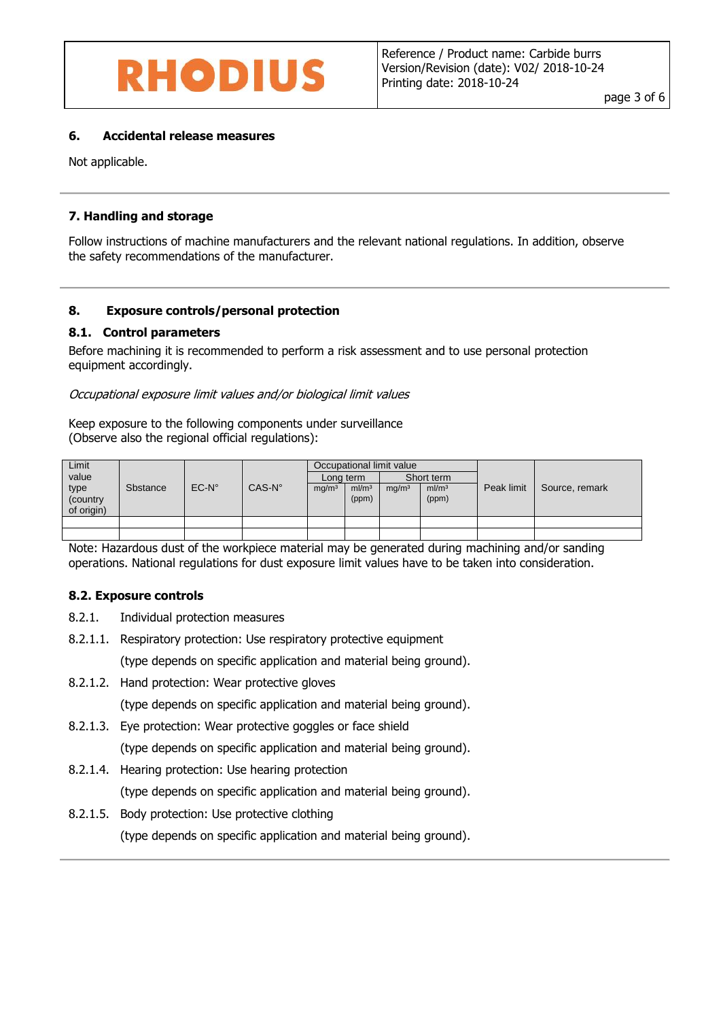

#### **6. Accidental release measures**

Not applicable.

### **7. Handling and storage**

Follow instructions of machine manufacturers and the relevant national regulations. In addition, observe the safety recommendations of the manufacturer.

#### **8. Exposure controls/personal protection**

#### **8.1. Control parameters**

Before machining it is recommended to perform a risk assessment and to use personal protection equipment accordingly.

Occupational exposure limit values and/or biological limit values

Keep exposure to the following components under surveillance (Observe also the regional official regulations):

| Limit<br>value                  |                 |                |                 | Occupational limit value<br>Short term<br>Long term |                            |                   |                            |            |                |
|---------------------------------|-----------------|----------------|-----------------|-----------------------------------------------------|----------------------------|-------------------|----------------------------|------------|----------------|
| type<br>(country)<br>of origin) | <b>Sbstance</b> | $EC-N^{\circ}$ | $CAS-N^{\circ}$ | mg/m <sup>3</sup>                                   | ml/m <sup>3</sup><br>(ppm) | mg/m <sup>3</sup> | ml/m <sup>3</sup><br>(ppm) | Peak limit | Source, remark |
|                                 |                 |                |                 |                                                     |                            |                   |                            |            |                |
|                                 |                 |                |                 |                                                     |                            |                   |                            |            |                |

Note: Hazardous dust of the workpiece material may be generated during machining and/or sanding operations. National regulations for dust exposure limit values have to be taken into consideration.

#### **8.2. Exposure controls**

- 8.2.1. Individual protection measures
- 8.2.1.1. Respiratory protection: Use respiratory protective equipment

(type depends on specific application and material being ground).

- 8.2.1.2. Hand protection: Wear protective gloves (type depends on specific application and material being ground).
- 8.2.1.3. Eye protection: Wear protective goggles or face shield (type depends on specific application and material being ground).
- 8.2.1.4. Hearing protection: Use hearing protection (type depends on specific application and material being ground).
- 8.2.1.5. Body protection: Use protective clothing (type depends on specific application and material being ground).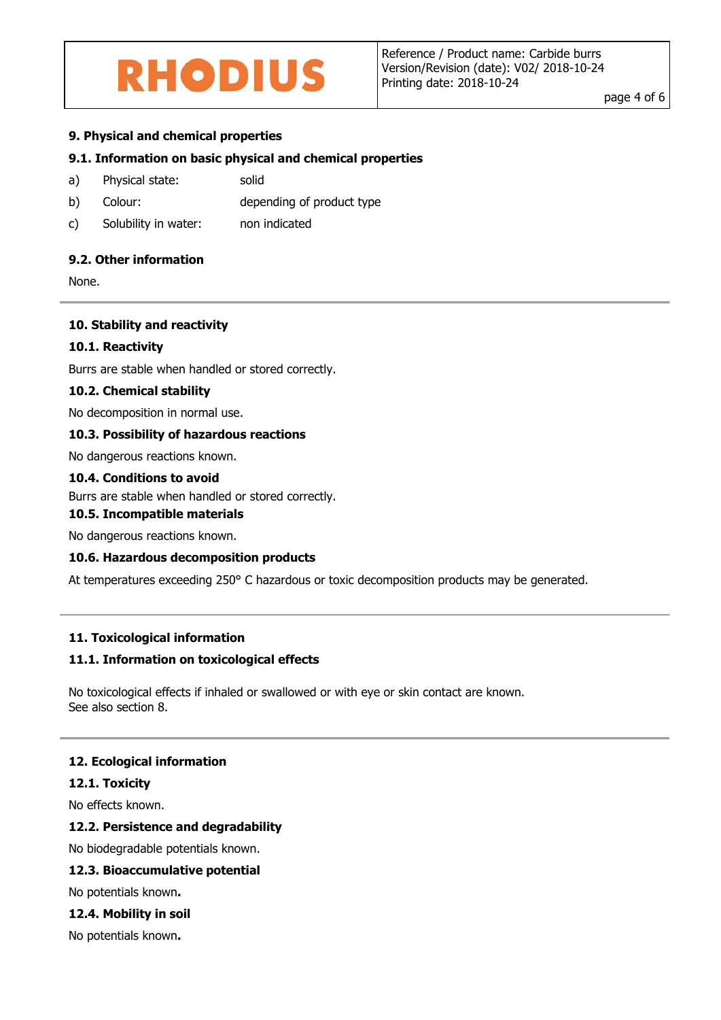page 4 of 6

## **9. Physical and chemical properties**

## **9.1. Information on basic physical and chemical properties**

- a) Physical state: solid
- b) Colour: depending of product type
- c) Solubility in water: non indicated

## **9.2. Other information**

None.

#### **10. Stability and reactivity**

#### **10.1. Reactivity**

Burrs are stable when handled or stored correctly.

#### **10.2. Chemical stability**

No decomposition in normal use.

## **10.3. Possibility of hazardous reactions**

No dangerous reactions known.

#### **10.4. Conditions to avoid**

Burrs are stable when handled or stored correctly.

#### **10.5. Incompatible materials**

No dangerous reactions known.

#### **10.6. Hazardous decomposition products**

At temperatures exceeding 250° C hazardous or toxic decomposition products may be generated.

#### **11. Toxicological information**

#### **11.1. Information on toxicological effects**

No toxicological effects if inhaled or swallowed or with eye or skin contact are known. See also section 8.

#### **12. Ecological information**

#### **12.1. Toxicity**

No effects known.

#### **12.2. Persistence and degradability**

No biodegradable potentials known.

#### **12.3. Bioaccumulative potential**

No potentials known**.**

#### **12.4. Mobility in soil**

No potentials known**.**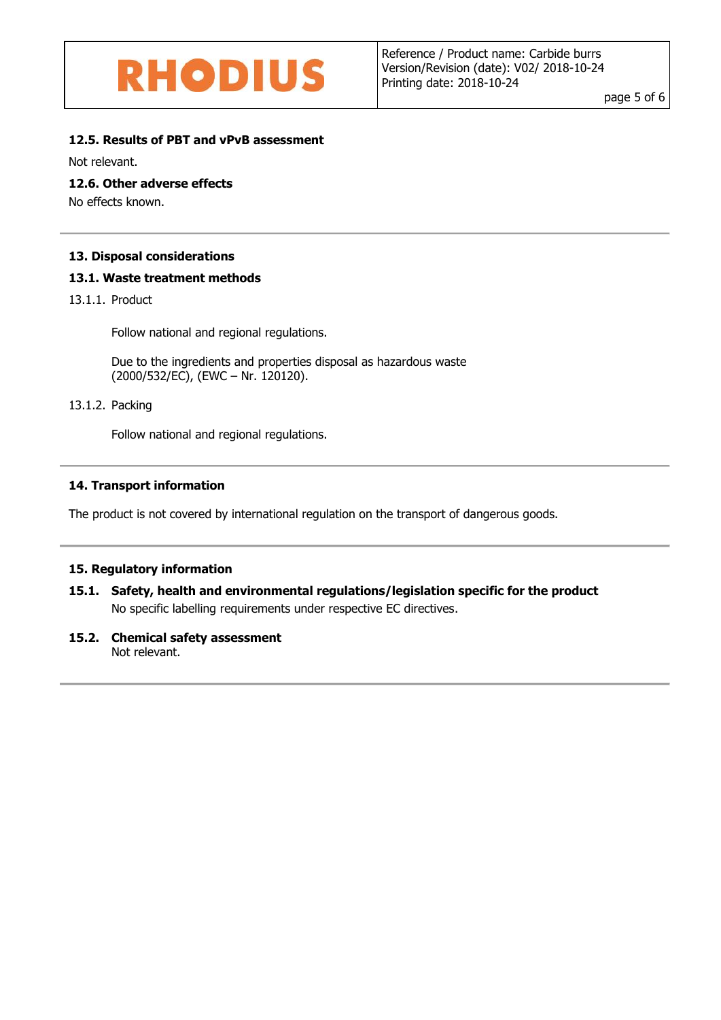page 5 of 6

## **12.5. Results of PBT and vPvB assessment**

Not relevant.

## **12.6. Other adverse effects**

No effects known.

## **13. Disposal considerations**

## **13.1. Waste treatment methods**

13.1.1. Product

Follow national and regional regulations.

Due to the ingredients and properties disposal as hazardous waste (2000/532/EC), (EWC – Nr. 120120).

## 13.1.2. Packing

Follow national and regional regulations.

## **14. Transport information**

The product is not covered by international regulation on the transport of dangerous goods.

## **15. Regulatory information**

## **15.1. Safety, health and environmental regulations/legislation specific for the product** No specific labelling requirements under respective EC directives.

## **15.2. Chemical safety assessment**

Not relevant.